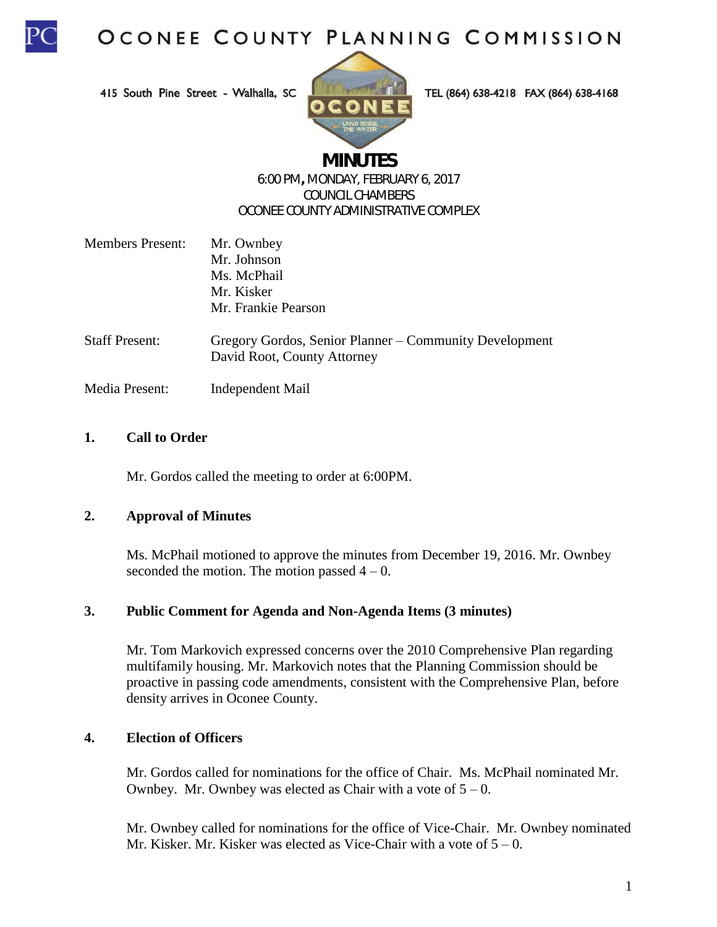

415 South Pine Street - Walhalla, SC



TEL (864) 638-4218 FAX (864) 638-4168

# **MINUTES**

#### 6:00 PM**,** MONDAY, FEBRUARY 6, 2017 COUNCIL CHAMBERS OCONEE COUNTY ADMINISTRATIVE COMPLEX

| <b>Members Present:</b> | Mr. Ownbey                                                                            |
|-------------------------|---------------------------------------------------------------------------------------|
|                         | Mr. Johnson                                                                           |
|                         | Ms. McPhail                                                                           |
|                         | Mr. Kisker                                                                            |
|                         | Mr. Frankie Pearson                                                                   |
| <b>Staff Present:</b>   | Gregory Gordos, Senior Planner – Community Development<br>David Root, County Attorney |
|                         |                                                                                       |

Media Present: Independent Mail

## **1. Call to Order**

Mr. Gordos called the meeting to order at 6:00PM.

## **2. Approval of Minutes**

Ms. McPhail motioned to approve the minutes from December 19, 2016. Mr. Ownbey seconded the motion. The motion passed  $4 - 0$ .

## **3. Public Comment for Agenda and Non-Agenda Items (3 minutes)**

Mr. Tom Markovich expressed concerns over the 2010 Comprehensive Plan regarding multifamily housing. Mr. Markovich notes that the Planning Commission should be proactive in passing code amendments, consistent with the Comprehensive Plan, before density arrives in Oconee County.

## **4. Election of Officers**

Mr. Gordos called for nominations for the office of Chair. Ms. McPhail nominated Mr. Ownbey. Mr. Ownbey was elected as Chair with a vote of  $5 - 0$ .

Mr. Ownbey called for nominations for the office of Vice-Chair. Mr. Ownbey nominated Mr. Kisker. Mr. Kisker was elected as Vice-Chair with a vote of  $5 - 0$ .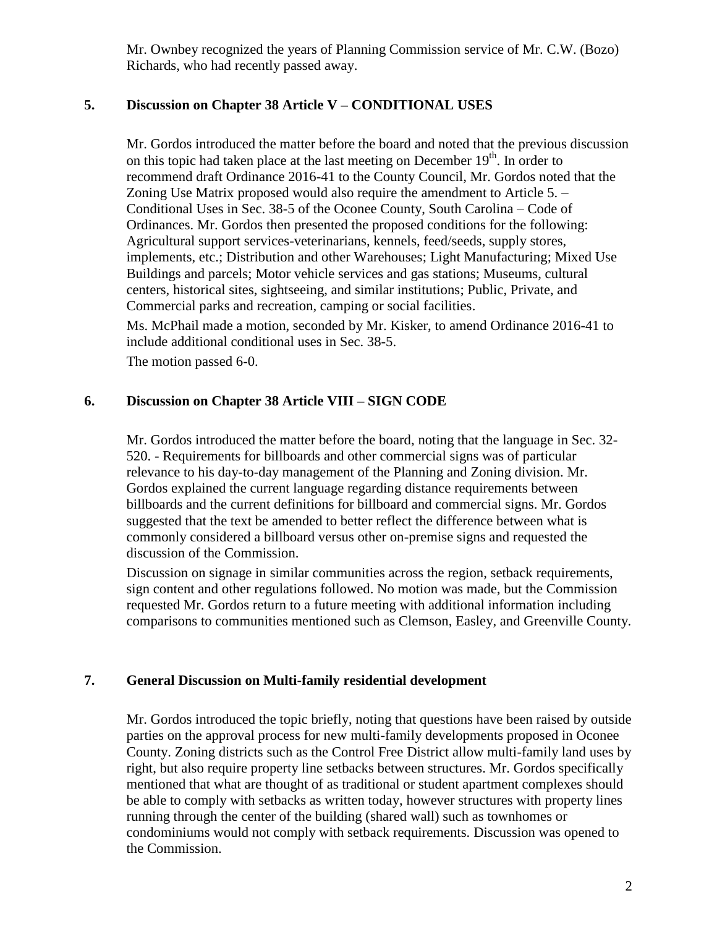Mr. Ownbey recognized the years of Planning Commission service of Mr. C.W. (Bozo) Richards, who had recently passed away.

## **5. Discussion on Chapter 38 Article V – CONDITIONAL USES**

Mr. Gordos introduced the matter before the board and noted that the previous discussion on this topic had taken place at the last meeting on December  $19<sup>th</sup>$ . In order to recommend draft Ordinance 2016-41 to the County Council, Mr. Gordos noted that the Zoning Use Matrix proposed would also require the amendment to Article 5. – Conditional Uses in Sec. 38-5 of the Oconee County, South Carolina – Code of Ordinances. Mr. Gordos then presented the proposed conditions for the following: Agricultural support services-veterinarians, kennels, feed/seeds, supply stores, implements, etc.; Distribution and other Warehouses; Light Manufacturing; Mixed Use Buildings and parcels; Motor vehicle services and gas stations; Museums, cultural centers, historical sites, sightseeing, and similar institutions; Public, Private, and Commercial parks and recreation, camping or social facilities.

Ms. McPhail made a motion, seconded by Mr. Kisker, to amend Ordinance 2016-41 to include additional conditional uses in Sec. 38-5.

The motion passed 6-0.

## **6. Discussion on Chapter 38 Article VIII – SIGN CODE**

Mr. Gordos introduced the matter before the board, noting that the language in Sec. 32- 520. - Requirements for billboards and other commercial signs was of particular relevance to his day-to-day management of the Planning and Zoning division. Mr. Gordos explained the current language regarding distance requirements between billboards and the current definitions for billboard and commercial signs. Mr. Gordos suggested that the text be amended to better reflect the difference between what is commonly considered a billboard versus other on-premise signs and requested the discussion of the Commission.

Discussion on signage in similar communities across the region, setback requirements, sign content and other regulations followed. No motion was made, but the Commission requested Mr. Gordos return to a future meeting with additional information including comparisons to communities mentioned such as Clemson, Easley, and Greenville County.

## **7. General Discussion on Multi-family residential development**

Mr. Gordos introduced the topic briefly, noting that questions have been raised by outside parties on the approval process for new multi-family developments proposed in Oconee County. Zoning districts such as the Control Free District allow multi-family land uses by right, but also require property line setbacks between structures. Mr. Gordos specifically mentioned that what are thought of as traditional or student apartment complexes should be able to comply with setbacks as written today, however structures with property lines running through the center of the building (shared wall) such as townhomes or condominiums would not comply with setback requirements. Discussion was opened to the Commission.